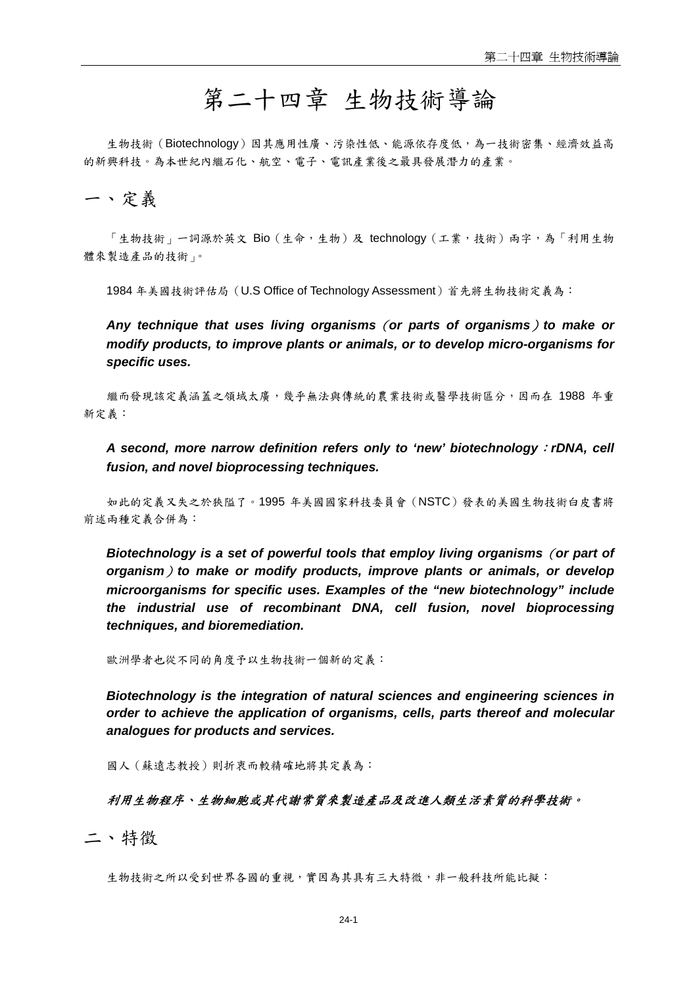# 第二十四章 生物技術導論

生物技術(Biotechnology)因其應用性廣、污染性低、能源依存度低,為一技術密集、經濟效益高 的新興科技。為本世紀內繼石化、航空、電子、電訊產業後之最具發展潛力的產業。

## 一、定義

「生物技術」一詞源於英文 Bio (生命,生物)及 technology (工業,技術)兩字,為「利用生物 體來製造產品的技術」。

1984 年美國技術評估局(U.S Office of Technology Assessment)首先將生物技術定義為:

*Any technique that uses living organisms*(*or parts of organisms*)*to make or modify products, to improve plants or animals, or to develop micro-organisms for specific uses.* 

繼而發現該定義涵蓋之領域太廣,幾乎無法與傳統的農業技術或醫學技術區分,因而在 1988 年重 新定義:

*A second, more narrow definition refers only to 'new' biotechnology*:*rDNA, cell fusion, and novel bioprocessing techniques.* 

如此的定義又失之於狹隘了。1995 年美國國家科技委員會(NSTC)發表的美國生物技術白皮書將 前述兩種定義合併為:

*Biotechnology is a set of powerful tools that employ living organisms*(*or part of organism*)*to make or modify products, improve plants or animals, or develop microorganisms for specific uses. Examples of the "new biotechnology" include the industrial use of recombinant DNA, cell fusion, novel bioprocessing techniques, and bioremediation.* 

歐洲學者也從不同的角度予以生物技術一個新的定義:

*Biotechnology is the integration of natural sciences and engineering sciences in order to achieve the application of organisms, cells, parts thereof and molecular analogues for products and services.* 

國人(蘇遠志教授)則折衷而較精確地將其定義為:

#### 利用生物程序、生物細胞或其代謝常質來製造產品及改進人類生活素質的科學技術。

二、特徵

生物技術之所以受到世界各國的重視,實因為其具有三大特微,非一般科技所能比擬: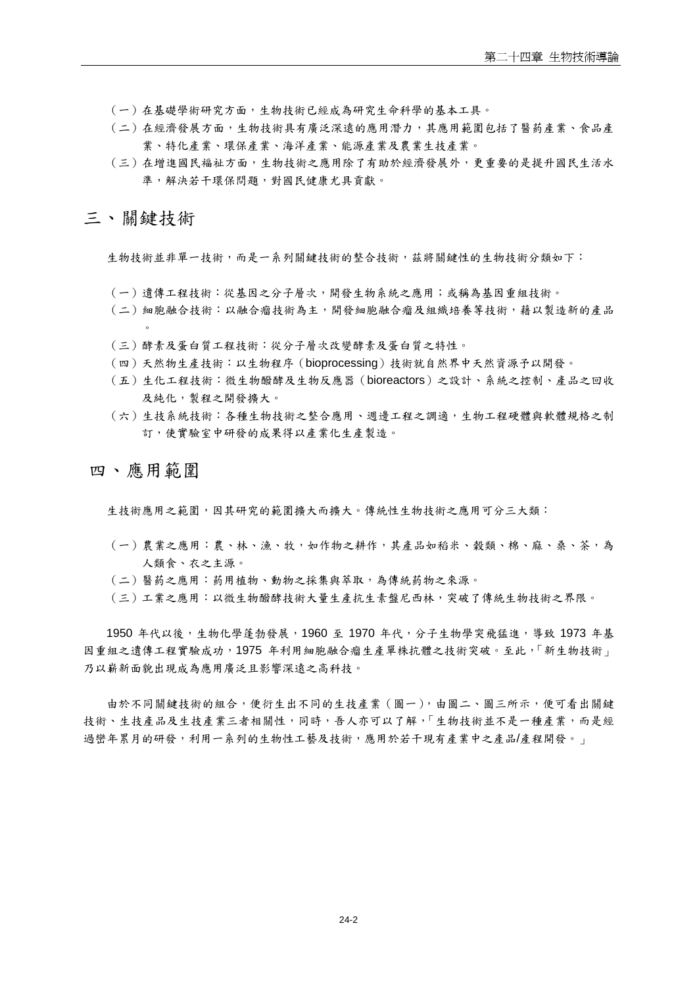- (一)在基礎學術研究方面,生物技術已經成為研究生命科學的基本工具。
- (二)在經濟發展方面,生物技術具有廣泛深遠的應用潛力,其應用範圍包括了醫葯產業、食品產 業、特化產業、環保產業、海洋產業、能源產業及農業生技產業。
- (三)在增進國民褔祉方面,生物技術之應用除了有助於經濟發展外,更重要的是提升國民生活水 準,解決若干環保問題,對國民健康尤具貢獻。

## 三、關鍵技術

生物技術並非單一技術,而是一系列關鍵技術的整合技術,茲將關鍵性的生物技術分類如下:

- (一)遺傳工程技術:從基因之分子層次,開發生物系統之應用;或稱為基因重組技術。
- (二)細胞融合技術:以融合瘤技術為主,開發細胞融合瘤及組織培養等技術,藉以製造新的產品  $\circ$
- (三)酵素及蛋白質工程技術:從分子層次改變酵素及蛋白質之特性。
- (四)天然物生產技術:以生物程序(bioprocessing)技術就自然界中天然資源予以開發。
- (五)生化工程技術:微生物醱酵及生物反應器(bioreactors)之設計、系統之控制、產品之回收 及純化,製程之開發擴大。
- (六)生技系統技術:各種生物技術之整合應用、週邊工程之調適,生物工程硬體與軟體規格之制 訂,使實驗室中研發的成果得以產業化生產製造。

### 四、應用範圍

生技術應用之範圍,因其研究的範圍擴大而擴大。傳統性生物技術之應用可分三大類:

- (一)農業之應用:農、林、漁、牧,如作物之耕作,其產品如稻米、穀類、棉、麻、桑、茶,為 人類食、衣之主源。
- (二)醫葯之應用:葯用植物、動物之採集與萃取,為傳統葯物之來源。
- (三)工業之應用:以微生物醱酵技術大量生產抗生素盤尼西林,突破了傳統生物技術之界限。

1950 年代以後,生物化學蓬勃發展,1960 至 1970 年代,分子生物學突飛猛進,導致 1973 年基 因重組之遺傳工程實驗成功, 1975 年利用細胞融合瘤生產單株抗體之技術突破。至此, 「新生物技術」 乃以嶄新面貌出現成為應用廣泛且影響深遠之高科技。

由於不同關鍵技術的組合,便衍生出不同的生技產業(圖一),由圖二、圖三所示,便可看出關鍵 技術、生技產品及生技產業三者相關性,同時,吾人亦可以了解,「生物技術並不是一種產業,而是經 過巒年累月的研發,利用一系列的生物性工藝及技術,應用於若干現有產業中之產品/產程開發。」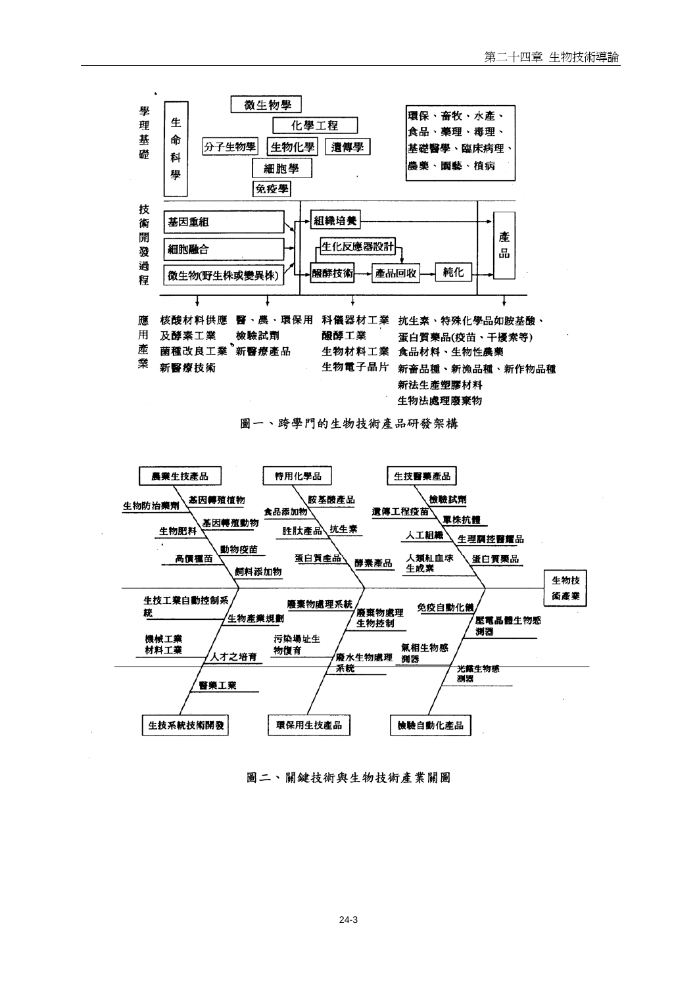

圖一、跨學門的生物技術產品研發架構



圖二、關鍵技術與生物技術產業關圖